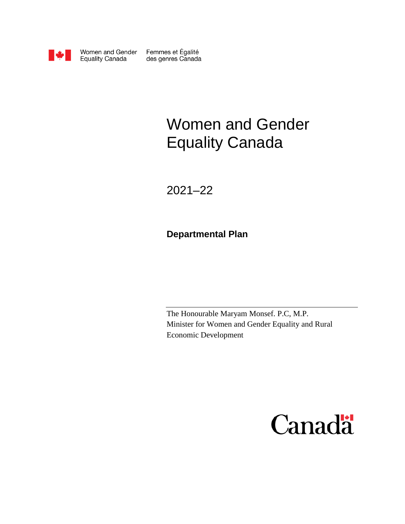

Women and Gender **Equality Canada** 

Femmes et Égalité<br>des genres Canada

# Women and Gender Equality Canada

2021–22

**Departmental Plan** 

The Honourable Maryam Monsef. P.C, M.P. Minister for Women and Gender Equality and Rural Economic Development

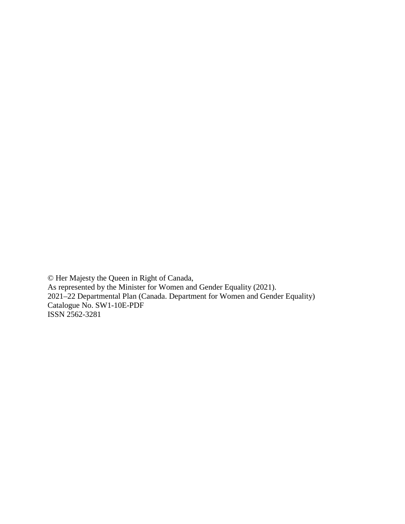© Her Majesty the Queen in Right of Canada, As represented by the Minister for Women and Gender Equality (2021). 2021–22 Departmental Plan (Canada. Department for Women and Gender Equality) Catalogue No. SW1-10E-PDF ISSN 2562-3281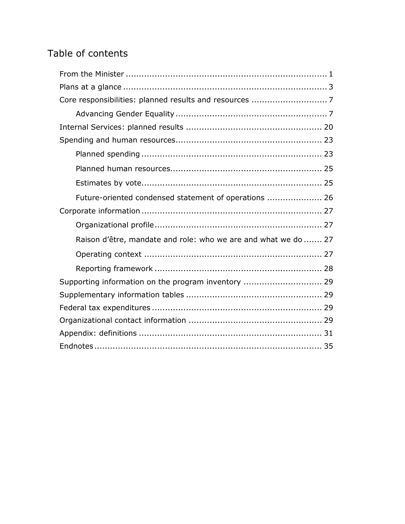# Table of contents

| Future-oriented condensed statement of operations  26          |
|----------------------------------------------------------------|
|                                                                |
|                                                                |
| Raison d'être, mandate and role: who we are and what we do  27 |
|                                                                |
|                                                                |
| Supporting information on the program inventory  29            |
|                                                                |
|                                                                |
|                                                                |
|                                                                |
|                                                                |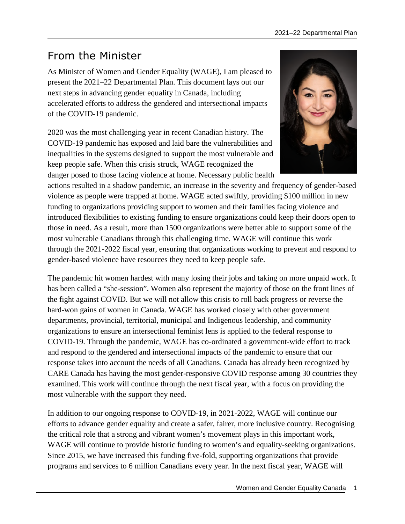# <span id="page-4-0"></span>From the Minister

As Minister of Women and Gender Equality (WAGE), I am pleased to present the 2021–22 Departmental Plan. This document lays out our next steps in advancing gender equality in Canada, including accelerated efforts to address the gendered and intersectional impacts of the COVID-19 pandemic.

2020 was the most challenging year in recent Canadian history. The COVID-19 pandemic has exposed and laid bare the vulnerabilities and inequalities in the systems designed to support the most vulnerable and keep people safe. When this crisis struck, WAGE recognized the danger posed to those facing violence at home. Necessary public health



actions resulted in a shadow pandemic, an increase in the severity and frequency of gender-based violence as people were trapped at home. WAGE acted swiftly, providing \$100 million in new funding to organizations providing support to women and their families facing violence and introduced flexibilities to existing funding to ensure organizations could keep their doors open to those in need. As a result, more than 1500 organizations were better able to support some of the most vulnerable Canadians through this challenging time. WAGE will continue this work through the 2021-2022 fiscal year, ensuring that organizations working to prevent and respond to gender-based violence have resources they need to keep people safe.

The pandemic hit women hardest with many losing their jobs and taking on more unpaid work. It has been called a "she-session". Women also represent the majority of those on the front lines of the fight against COVID. But we will not allow this crisis to roll back progress or reverse the hard-won gains of women in Canada. WAGE has worked closely with other government departments, provincial, territorial, municipal and Indigenous leadership, and community organizations to ensure an intersectional feminist lens is applied to the federal response to COVID-19. Through the pandemic, WAGE has co-ordinated a government-wide effort to track and respond to the gendered and intersectional impacts of the pandemic to ensure that our response takes into account the needs of all Canadians. Canada has already been recognized by CARE Canada has having the most gender-responsive COVID response among 30 countries they examined. This work will continue through the next fiscal year, with a focus on providing the most vulnerable with the support they need.

In addition to our ongoing response to COVID-19, in 2021-2022, WAGE will continue our efforts to advance gender equality and create a safer, fairer, more inclusive country. Recognising the critical role that a strong and vibrant women's movement plays in this important work, WAGE will continue to provide historic funding to women's and equality-seeking organizations. Since 2015, we have increased this funding five-fold, supporting organizations that provide programs and services to 6 million Canadians every year. In the next fiscal year, WAGE will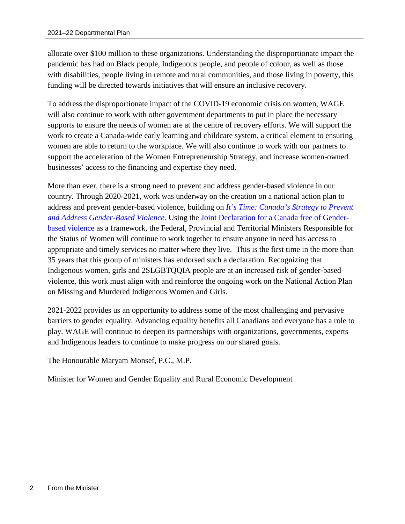allocate over \$100 million to these organizations. Understanding the disproportionate impact the pandemic has had on Black people, Indigenous people, and people of colour, as well as those with disabilities, people living in remote and rural communities, and those living in poverty, this funding will be directed towards initiatives that will ensure an inclusive recovery.

To address the disproportionate impact of the COVID-19 economic crisis on women, WAGE will also continue to work with other government departments to put in place the necessary supports to ensure the needs of women are at the centre of recovery efforts. We will support the work to create a Canada-wide early learning and childcare system, a critical element to ensuring women are able to return to the workplace. We will also continue to work with our partners to support the acceleration of the Women Entrepreneurship Strategy, and increase women-owned businesses' access to the financing and expertise they need.

More than ever, there is a strong need to prevent and address gender-based violence in our country. Through 2020-2021, work was underway on the creation on a national action plan to address and prevent gender-based violence, building on *[It's Time: Canada's Strategy to Prevent](https://cfc-swc.gc.ca/violence/knowledge-connaissance/strategy-strategie-en.html)  and Address Gender-Based Violence*[. Using the Joint Declaration for a Canada free of Gender](https://cfc-swc.gc.ca/violence/knowledge-connaissance/strategy-strategie-en.html)based violence [as a framework, the Federal, Provincial and Territorial Ministers Responsible for](https://cfc-swc.gc.ca/violence/strategy-strategie/declaration-en.html)  the Status of Women will continue to work together to ensure anyone in need has access to appropriate and timely services no matter where they live. This is the first time in the more than 35 years that this group of ministers has endorsed such a declaration. Recognizing that Indigenous women, girls and 2SLGBTQQIA people are at an increased risk of gender-based violence, this work must align with and reinforce the ongoing work on the National Action Plan on Missing and Murdered Indigenous Women and Girls.

2021-2022 provides us an opportunity to address some of the most challenging and pervasive barriers to gender equality. Advancing equality benefits all Canadians and everyone has a role to play. WAGE will continue to deepen its partnerships with organizations, governments, experts and Indigenous leaders to continue to make progress on our shared goals.

The Honourable Maryam Monsef, P.C., M.P.

Minister for Women and Gender Equality and Rural Economic Development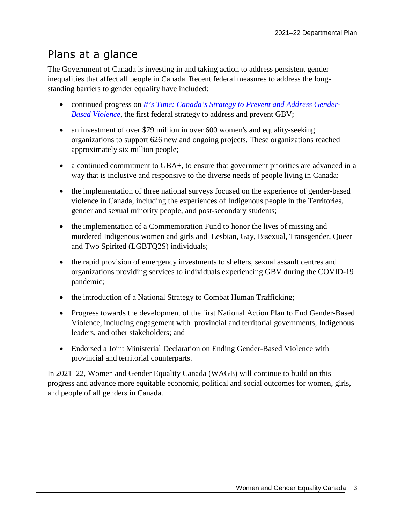# <span id="page-6-0"></span>Plans at a glance

The Government of Canada is investing in and taking action to address persistent gender inequalities that affect all people in Canada. Recent federal measures to address the longstanding barriers to gender equality have included:

- continued progress on *[It's Time: Canada's Strategy to Prevent and Address Gender-](https://cfc-swc.gc.ca/violence/knowledge-connaissance/strategy-strategie-en.html)[Based Violence](https://cfc-swc.gc.ca/violence/knowledge-connaissance/strategy-strategie-en.html)*[, the first federal strategy to address and prevent GBV;](https://cfc-swc.gc.ca/violence/knowledge-connaissance/strategy-strategie-en.html)
- an investment of over \$79 million in over 600 women's and equality-seeking organizations to support 626 new and ongoing projects. These organizations reached approximately six million people;
- a continued commitment to GBA+, to ensure that government priorities are advanced in a way that is inclusive and responsive to the diverse needs of people living in Canada;
- the implementation of three national surveys focused on the experience of gender-based violence in Canada, including the experiences of Indigenous people in the Territories, gender and sexual minority people, and post-secondary students;
- the implementation of a Commemoration Fund to honor the lives of missing and murdered Indigenous women and girls and Lesbian, Gay, Bisexual, Transgender, Queer and Two Spirited (LGBTQ2S) individuals;
- the rapid provision of emergency investments to shelters, sexual assault centres and organizations providing services to individuals experiencing GBV during the COVID-19 pandemic;
- the introduction of a National Strategy to Combat Human Trafficking;
- Progress towards the development of the first National Action Plan to End Gender-Based Violence, including engagement with provincial and territorial governments, Indigenous leaders, and other stakeholders; and
- Endorsed a Joint Ministerial Declaration on Ending Gender-Based Violence with provincial and territorial counterparts.

In 2021–22, Women and Gender Equality Canada (WAGE) will continue to build on this progress and advance more equitable economic, political and social outcomes for women, girls, and people of all genders in Canada.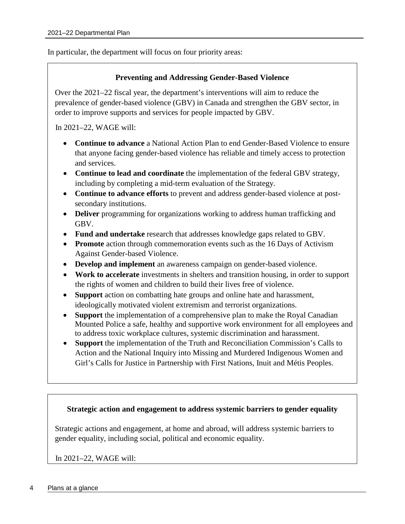In particular, the department will focus on four priority areas:

### **Preventing and Addressing Gender-Based Violence**

Over the 2021–22 fiscal year, the department's interventions will aim to reduce the prevalence of gender-based violence (GBV) in Canada and strengthen the GBV sector, in order to improve supports and services for people impacted by GBV.

In 2021–22, WAGE will:

- **Continue to advance** a National Action Plan to end Gender-Based Violence to ensure that anyone facing gender-based violence has reliable and timely access to protection and services.
- **Continue to lead and coordinate** the implementation of the federal GBV strategy, including by completing a mid-term evaluation of the Strategy.
- **Continue to advance efforts** to prevent and address gender-based violence at postsecondary institutions.
- **Deliver** programming for organizations working to address human trafficking and GBV.
- **Fund and undertake** research that addresses knowledge gaps related to GBV.
- **Promote** action through commemoration events such as the 16 Days of Activism Against Gender-based Violence.
- **Develop and implement** an awareness campaign on gender-based violence.
- **Work to accelerate** investments in shelters and transition housing, in order to support the rights of women and children to build their lives free of violence.
- **Support** action on combatting hate groups and online hate and harassment, ideologically motivated violent extremism and terrorist organizations.
- **Support** the implementation of a comprehensive plan to make the Royal Canadian Mounted Police a safe, healthy and supportive work environment for all employees and to address toxic workplace cultures, systemic discrimination and harassment.
- **Support** the implementation of the Truth and Reconciliation Commission's Calls to Action and the National Inquiry into Missing and Murdered Indigenous Women and Girl's Calls for Justice in Partnership with First Nations, Inuit and Métis Peoples.

### **Strategic action and engagement to address systemic barriers to gender equality**

Strategic actions and engagement, at home and abroad, will address systemic barriers to gender equality, including social, political and economic equality.

In 2021–22, WAGE will: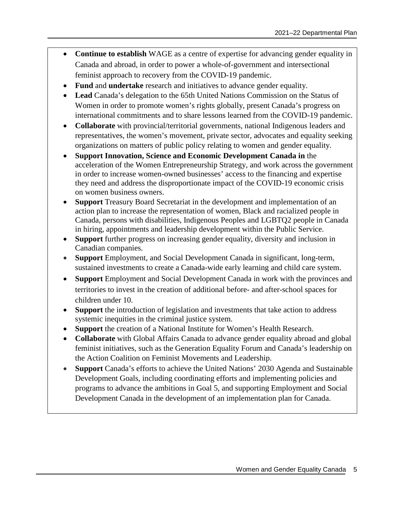- **Continue to establish** WAGE as a centre of expertise for advancing gender equality in Canada and abroad, in order to power a whole-of-government and intersectional feminist approach to recovery from the COVID-19 pandemic.
- **Fund** and **undertake** research and initiatives to advance gender equality.
- **Lead** Canada's delegation to the 65th United Nations Commission on the Status of Women in order to promote women's rights globally, present Canada's progress on international commitments and to share lessons learned from the COVID-19 pandemic.
- **Collaborate** with provincial/territorial governments, national Indigenous leaders and representatives, the women's movement, private sector, advocates and equality seeking organizations on matters of public policy relating to women and gender equality.
- **Support Innovation, Science and Economic Development Canada in** the acceleration of the Women Entrepreneurship Strategy, and work across the government in order to increase women-owned businesses' access to the financing and expertise they need and address the disproportionate impact of the COVID-19 economic crisis on women business owners.
- **Support** Treasury Board Secretariat in the development and implementation of an action plan to increase the representation of women, Black and racialized people in Canada, persons with disabilities, Indigenous Peoples and LGBTQ2 people in Canada in hiring, appointments and leadership development within the Public Service.
- **Support** further progress on increasing gender equality, diversity and inclusion in Canadian companies.
- **Support** Employment, and Social Development Canada in significant, long-term, sustained investments to create a Canada-wide early learning and child care system.
- **Support** Employment and Social Development Canada in work with the provinces and territories to invest in the creation of additional before- and after-school spaces for children under 10.
- **Support** the introduction of legislation and investments that take action to address systemic inequities in the criminal justice system.
- **Support** the creation of a National Institute for Women's Health Research.
- **Collaborate** with Global Affairs Canada to advance gender equality abroad and global feminist initiatives, such as the Generation Equality Forum and Canada's leadership on the Action Coalition on Feminist Movements and Leadership.
- **Support** Canada's efforts to achieve the United Nations' 2030 Agenda and Sustainable Development Goals, including coordinating efforts and implementing policies and programs to advance the ambitions in Goal 5, and supporting Employment and Social Development Canada in the development of an implementation plan for Canada.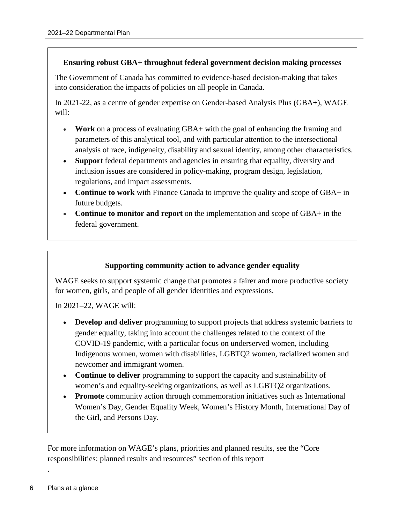### **Ensuring robust GBA+ throughout federal government decision making processes**

The Government of Canada has committed to evidence-based decision-making that takes into consideration the impacts of policies on all people in Canada.

In 2021-22, as a centre of gender expertise on Gender-based Analysis Plus (GBA+), WAGE will:

- **Work** on a process of evaluating GBA+ with the goal of enhancing the framing and parameters of this analytical tool, and with particular attention to the intersectional analysis of race, indigeneity, disability and sexual identity, among other characteristics.
- **Support** federal departments and agencies in ensuring that equality, diversity and inclusion issues are considered in policy-making, program design, legislation, regulations, and impact assessments.
- **Continue to work** with Finance Canada to improve the quality and scope of GBA+ in future budgets.
- **Continue to monitor and report** on the implementation and scope of GBA+ in the federal government.

### **Supporting community action to advance gender equality**

WAGE seeks to support systemic change that promotes a fairer and more productive society for women, girls, and people of all gender identities and expressions.

In 2021–22, WAGE will:

- **Develop and deliver** programming to support projects that address systemic barriers to gender equality, taking into account the challenges related to the context of the COVID-19 pandemic, with a particular focus on underserved women, including Indigenous women, women with disabilities, LGBTQ2 women, racialized women and newcomer and immigrant women.
- **Continue to deliver** programming to support the capacity and sustainability of women's and equality-seeking organizations, as well as LGBTQ2 organizations.
- **Promote** community action through commemoration initiatives such as International Women's Day, Gender Equality Week, Women's History Month, International Day of the Girl, and Persons Day.

For more information on WAGE's plans, priorities and planned results, see the "Core responsibilities: planned results and resources" section of this report

.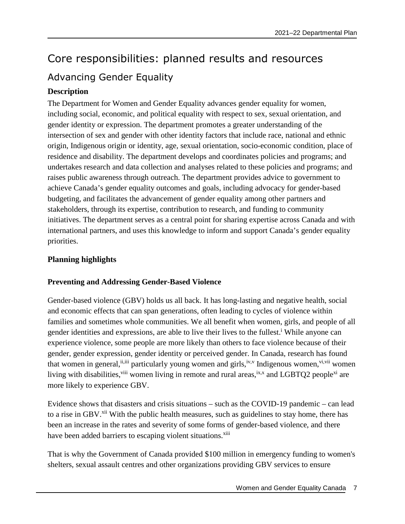# <span id="page-10-1"></span><span id="page-10-0"></span>Core responsibilities: planned results and resources Advancing Gender Equality

# **Description**

The Department for Women and Gender Equality advances gender equality for women, including social, economic, and political equality with respect to sex, sexual orientation, and gender identity or expression. The department promotes a greater understanding of the intersection of sex and gender with other identity factors that include race, national and ethnic origin, Indigenous origin or identity, age, sexual orientation, socio-economic condition, place of residence and disability. The department develops and coordinates policies and programs; and undertakes research and data collection and analyses related to these policies and programs; and raises public awareness through outreach. The department provides advice to government to achieve Canada's gender equality outcomes and goals, including advocacy for gender-based budgeting, and facilitates the advancement of gender equality among other partners and stakeholders, through its expertise, contribution to research, and funding to community initiatives. The department serves as a central point for sharing expertise across Canada and with international partners, and uses this knowledge to inform and support Canada's gender equality priorities.

### **Planning highlights**

### **Preventing and Addressing Gender-Based Violence**

Gender-based violence (GBV) holds us all back. It has long-lasting and negative health, social and economic effects that can span generations, often leading to cycles of violence within families and sometimes whole communities. We all benefit when women, girls, and people of all gender [i](#page-39-0)dentities and expressions, are able to live their lives to the fullest.<sup>i</sup> While anyone can experience violence, some people are more likely than others to face violence because of their gender, gender expression, gender identity or perceived gender. In Canada, research has found that women [i](#page-39-6)n general,  $i$ <sup>[ii,ii](#page-39-1)i</sup> particularly young women and girls,  $i^{V,V}$  Indigenous women,  $v^{i,vii}$  women living with disabilities,<sup>[viii](#page-39-7)</sup> women living in remote and rural areas,<sup>[ix,x](#page-39-8)</sup> [a](#page-39-9)nd LGBTQ2 people<sup>[xi](#page-39-10)</sup> are more likely to experience GBV.

Evidence shows that disasters and crisis situations – such as the COVID-19 pandemic – can lead to a rise in GBV.<sup>[xii](#page-39-11)</sup> With the public health measures, such as guidelines to stay home, there has been an increase in the rates and severity of some forms of gender-based violence, and there have been added barriers to escaping violent situations.<sup>[xiii](#page-39-12)</sup>

That is why the Government of Canada provided [\\$100 million in emergency funding](https://www.canada.ca/en/employment-social-development/news/2020/04/canada-announces-support-to-those-experiencing-homelessness-and-women-fleeing-gender-based-violence-during-the-coronavirus-disease-covid-19-pandemic.html) to women's shelters, sexual assault centres and other organizations providing GBV services to ensure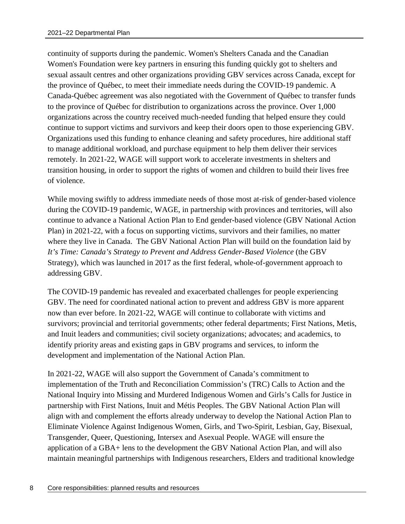continuity of supports during the pandemic. Women's Shelters Canada and the Canadian Women's Foundation were key partners in ensuring this funding quickly got to shelters and sexual assault centres and other organizations providing GBV services across Canada, except for the province of Québec, to meet their immediate needs during the COVID-19 pandemic. A Canada-Québec agreement was also negotiated with the Government of Québec to transfer funds to the province of Québec for distribution to organizations across the province. Over 1,000 organizations across the country received much-needed funding that helped ensure they could continue to support victims and survivors and keep their doors open to those experiencing GBV. Organizations used this funding to enhance cleaning and safety procedures, hire additional staff to manage additional workload, and purchase equipment to help them deliver their services remotely. In 2021-22, WAGE will support work to accelerate investments in shelters and transition housing, in order to support the rights of women and children to build their lives free of violence.

While moving swiftly to address immediate needs of those most at-risk of gender-based violence during the COVID-19 pandemic, WAGE, in partnership with provinces and territories, will also continue to advance a National Action Plan to End gender-based violence (GBV National Action Plan) in 2021-22, with a focus on supporting victims, survivors and their families, no matter where they live in Canada. The GBV National Action Plan will build on the foundation laid by *It's Time: Canada's Strategy to Prevent and Address Gender-Based Violence* (the GBV Strategy), which was launched in 2017 as the first federal, whole-of-government approach to addressing GBV.

The COVID-19 pandemic has revealed and exacerbated challenges for people experiencing GBV. The need for coordinated national action to prevent and address GBV is more apparent now than ever before. In 2021-22, WAGE will continue to collaborate with victims and survivors; provincial and territorial governments; other federal departments; First Nations, Metis, and Inuit leaders and communities; civil society organizations; advocates; and academics, to identify priority areas and existing gaps in GBV programs and services, to inform the development and implementation of the National Action Plan.

In 2021-22, WAGE will also support the Government of Canada's commitment to implementation of the Truth and Reconciliation Commission's (TRC) Calls to Action and the National Inquiry into Missing and Murdered Indigenous Women and Girls's Calls for Justice in partnership with First Nations, Inuit and Métis Peoples. The GBV National Action Plan will align with and complement the efforts already underway to develop the National Action Plan to Eliminate Violence Against Indigenous Women, Girls, and Two-Spirit, Lesbian, Gay, Bisexual, Transgender, Queer, Questioning, Intersex and Asexual People. WAGE will ensure the application of a GBA+ lens to the development the GBV National Action Plan, and will also maintain meaningful partnerships with Indigenous researchers, Elders and traditional knowledge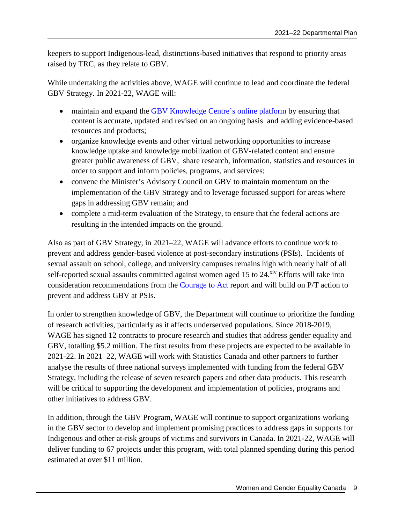keepers to support Indigenous-lead, distinctions-based initiatives that respond to priority areas raised by TRC, as they relate to GBV.

While undertaking the activities above, WAGE will continue to lead and coordinate the federal GBV Strategy. In 2021-22, WAGE will:

- maintain and expand the [GBV Knowledge Centre's online platform](https://cfc-swc.gc.ca/violence/knowledge-connaissance/index-en.html) by ensuring that content is accurate, updated and revised on an ongoing basis and adding evidence-based resources and products;
- organize knowledge events and other virtual networking opportunities to increase knowledge uptake and knowledge mobilization of GBV-related content and ensure greater public awareness of GBV, share research, information, statistics and resources in order to support and inform policies, programs, and services;
- convene the Minister's Advisory Council on GBV to maintain momentum on the implementation of the GBV Strategy and to leverage focussed support for areas where gaps in addressing GBV remain; and
- complete a mid-term evaluation of the Strategy, to ensure that the federal actions are resulting in the intended impacts on the ground.

Also as part of GBV Strategy, in 2021–22, WAGE will advance efforts to continue work to prevent and address gender-based violence at post-secondary institutions (PSIs). Incidents of sexual assault on school, college, and university campuses remains high with nearly half of all self-reported sexual assaults committed against women aged 15 to 24.<sup>[xiv](#page-39-13)</sup> Efforts will take into consideration recommendations from the [Courage to Act](https://www.couragetoact.ca/report) report and will build on P/T action to prevent and address GBV at PSIs.

In order to strengthen knowledge of GBV, the Department will continue to prioritize the funding of research activities, particularly as it affects underserved populations. Since 2018-2019, WAGE has signed 12 contracts to procure research and studies that address gender equality and GBV, totalling \$5.2 million. The first results from these projects are expected to be available in 2021-22. In 2021–22, WAGE will work with Statistics Canada and other partners to further analyse the results of three national surveys implemented with funding from the federal GBV Strategy, including the release of seven research papers and other data products. This research will be critical to supporting the development and implementation of policies, programs and other initiatives to address GBV.

In addition, through the GBV Program, WAGE will continue to support organizations working in the GBV sector to develop and implement promising practices to address gaps in supports for Indigenous and other at-risk groups of victims and survivors in Canada. In 2021-22, WAGE will deliver funding to 67 projects under this program, with total planned spending during this period estimated at over \$11 million.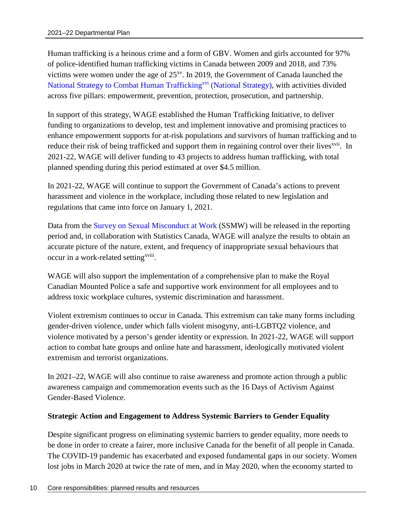Human trafficking is a heinous crime and a form of GBV. Women and girls accounted for 97% of police-identified human trafficking victims in Canada between 2009 and 2018, and 73% victims were women under the age of  $25<sup>xy</sup>$ . In 2019, the Government of Canada launched the [National Strategy to Combat Human Trafficking](https://www.publicsafety.gc.ca/cnt/rsrcs/pblctns/2019-ntnl-strtgy-hmnn-trffc/index-en.aspx)<sup>[xvi](#page-39-15)</sup> (National Strategy), with activities divided across five pillars: empowerment, prevention, protection, prosecution, and partnership.

In support of this strategy, WAGE established the Human Trafficking Initiative, to deliver funding to organizations to develop, test and implement innovative and promising practices to enhance empowerment supports for at-risk populations and survivors of human trafficking and to reduce their risk of being trafficked and support them in regaining control over their lives<sup>[xvii](#page-39-16)</sup>. In 2021-22, WAGE will deliver funding to 43 projects to address human trafficking, with total planned spending during this period estimated at over \$4.5 million.

In 2021-22, WAGE will continue to support the Government of Canada's actions to prevent harassment and violence in the workplace, including those related to new legislation and regulations that came into force on January 1, 2021.

Data from the [Survey on Sexual Misconduct at Work](https://www.statcan.gc.ca/eng/survey/household/5290) (SSMW) will be released in the reporting period and, in collaboration with Statistics Canada, WAGE will analyze the results to obtain an accurate picture of the nature, extent, and frequency of inappropriate sexual behaviours that occur in a work-related setting<sup>[xviii](#page-39-17)</sup>.

WAGE will also support the implementation of a comprehensive plan to make the Royal Canadian Mounted Police a safe and supportive work environment for all employees and to address toxic workplace cultures, systemic discrimination and harassment.

Violent extremism continues to occur in Canada. This extremism can take many forms including gender-driven violence, under which falls violent misogyny, anti-LGBTQ2 violence, and violence motivated by a person's gender identity or expression. In 2021-22, WAGE will support action to combat hate groups and online hate and harassment, ideologically motivated violent extremism and terrorist organizations.

In 2021–22, WAGE will also continue to raise awareness and promote action through a public awareness campaign and commemoration events such as the 16 Days of Activism Against Gender-Based Violence.

### **Strategic Action and Engagement to Address Systemic Barriers to Gender Equality**

Despite significant progress on eliminating systemic barriers to gender equality, more needs to be done in order to create a fairer, more inclusive Canada for the benefit of all people in Canada. The COVID-19 pandemic has exacerbated and exposed fundamental gaps in our society. Women lost jobs in March 2020 at twice the rate of men, and in May 2020, when the economy started to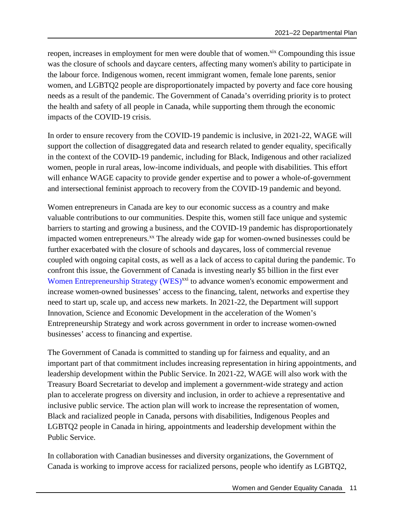reopen, increases in employment for men were double that of women.<sup>[xix](#page-39-18)</sup> Compounding this issue was the closure of schools and daycare centers, affecting many women's ability to participate in the labour force. Indigenous women, recent immigrant women, female lone parents, senior women, and LGBTQ2 people are disproportionately impacted by poverty and face core housing needs as a result of the pandemic. The Government of Canada's overriding priority is to protect the health and safety of all people in Canada, while supporting them through the economic impacts of the COVID-19 crisis.

In order to ensure recovery from the COVID-19 pandemic is inclusive, in 2021-22, WAGE will support the collection of disaggregated data and research related to gender equality, specifically in the context of the COVID-19 pandemic, including for Black, Indigenous and other racialized women, people in rural areas, low-income individuals, and people with disabilities. This effort will enhance WAGE capacity to provide gender expertise and to power a whole-of-government and intersectional feminist approach to recovery from the COVID-19 pandemic and beyond.

Women entrepreneurs in Canada are key to our economic success as a country and make valuable contributions to our communities. Despite this, women still face unique and systemic barriers to starting and growing a business, and the COVID-19 pandemic has disproportionately impacted women entrepreneurs.<sup>[xx](#page-39-19)</sup> The already wide gap for women-owned businesses could be further exacerbated with the closure of schools and daycares, loss of commercial revenue coupled with ongoing capital costs, as well as a lack of access to capital during the pandemic. To confront this issue, the Government of Canada is investing nearly \$5 billion in the first ever [Women Entrepreneurship Strategy \(WES\)](https://www.ic.gc.ca/eic/site/107.nsf/eng/home)<sup>[xxi](#page-39-20)</sup> to advance women's economic empowerment and increase women-owned businesses' access to the financing, talent, networks and expertise they need to start up, scale up, and access new markets. In 2021-22, the Department will support Innovation, Science and Economic Development in the acceleration of the Women's Entrepreneurship Strategy and work across government in order to increase women-owned businesses' access to financing and expertise.

The Government of Canada is committed to standing up for fairness and equality, and an important part of that commitment includes increasing representation in hiring appointments, and leadership development within the Public Service. In 2021-22, WAGE will also work with the Treasury Board Secretariat to develop and implement a government-wide strategy and action plan to accelerate progress on diversity and inclusion, in order to achieve a representative and inclusive public service. The action plan will work to increase the representation of women, Black and racialized people in Canada, persons with disabilities, Indigenous Peoples and LGBTQ2 people in Canada in hiring, appointments and leadership development within the Public Service.

In collaboration with Canadian businesses and diversity organizations, the Government of Canada is working to improve access for racialized persons, people who identify as LGBTQ2,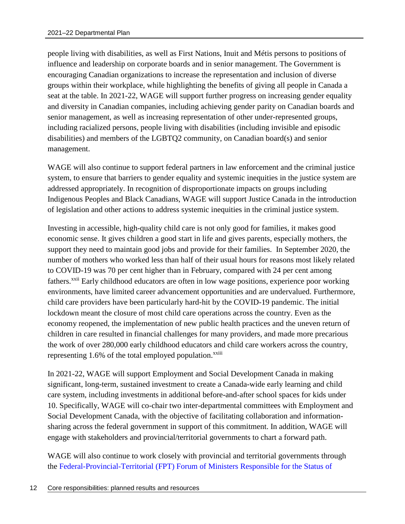people living with disabilities, as well as First Nations, Inuit and Métis persons to positions of influence and leadership on corporate boards and in senior management. The Government is encouraging Canadian organizations to increase the representation and inclusion of diverse groups within their workplace, while highlighting the benefits of giving all people in Canada a seat at the table. In 2021-22, WAGE will support further progress on increasing gender equality and diversity in Canadian companies, including achieving gender parity on Canadian boards and senior management, as well as increasing representation of other under-represented groups, including racialized persons, people living with disabilities (including invisible and episodic disabilities) and members of the LGBTQ2 community, on Canadian board(s) and senior management.

WAGE will also continue to support federal partners in law enforcement and the criminal justice system, to ensure that barriers to gender equality and systemic inequities in the justice system are addressed appropriately. In recognition of disproportionate impacts on groups including Indigenous Peoples and Black Canadians, WAGE will support Justice Canada in the introduction of legislation and other actions to address systemic inequities in the criminal justice system.

Investing in accessible, high-quality child care is not only good for families, it makes good economic sense. It gives children a good start in life and gives parents, especially mothers, the support they need to maintain good jobs and provide for their families. In September 2020, the number of mothers who worked less than half of their usual hours for reasons most likely related to COVID-19 was 70 per cent higher than in February, compared with 24 per cent among fathers.<sup>[xxii](#page-39-21)</sup> Early childhood educators are often in low wage positions, experience poor working environments, have limited career advancement opportunities and are undervalued. Furthermore, child care providers have been particularly hard-hit by the COVID-19 pandemic. The initial lockdown meant the closure of most child care operations across the country. Even as the economy reopened, the implementation of new public health practices and the uneven return of children in care resulted in financial challenges for many providers, and made more precarious the work of over 280,000 early childhood educators and child care workers across the country, representing  $1.6\%$  of the total employed population.<sup> $x$ xiii</sup>

In 2021-22, WAGE will support Employment and Social Development Canada in making significant, long-term, sustained investment to create a Canada-wide early learning and child care system, including investments in additional before-and-after school spaces for kids under 10. Specifically, WAGE will co-chair two inter-departmental committees with Employment and Social Development Canada, with the objective of facilitating collaboration and informationsharing across the federal government in support of this commitment. In addition, WAGE will engage with stakeholders and provincial/territorial governments to chart a forward path.

WAGE will also continue to work closely with provincial and territorial governments through the [Federal-Provincial-Territorial \(FPT\) Forum of Ministers Responsible for the Status of](https://cfc-swc.gc.ca/trans/briefing-information/transition/2019/tab12-en.html)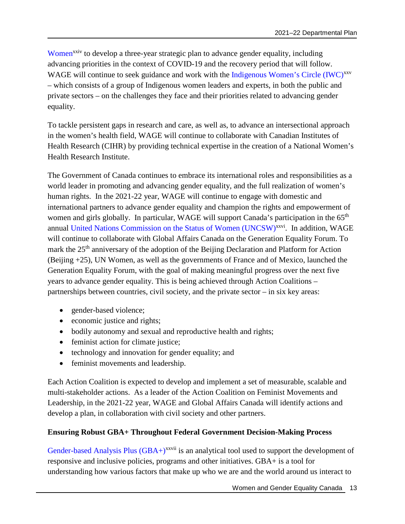[Women](https://cfc-swc.gc.ca/trans/briefing-information/transition/2019/tab12-en.html)<sup>[xxi](https://cfc-swc.gc.ca/trans/briefing-information/transition/2019/tab12-en.html)[v](#page-39-23)</sup> to develop a three-year strategic plan to advance gender equality, including advancing priorities in the context of COVID-19 and the recovery period that will follow. WAGE will continue to seek guidance and work with the [Indigenous Women's Circle \(IWC\)](https://www.canada.ca/en/women-gender-equality/news/2018/05/backgrounder---members-of-the-indigenous-womens-circle.html)<sup>[xxv](#page-39-24)</sup> – which consists of a group of Indigenous women leaders and experts, in both the public and private sectors – on the challenges they face and their priorities related to advancing gender equality.

To tackle persistent gaps in research and care, as well as, to advance an intersectional approach in the women's health field, WAGE will continue to collaborate with Canadian Institutes of Health Research (CIHR) by providing technical expertise in the creation of a National Women's Health Research Institute.

The Government of Canada continues to embrace its international roles and responsibilities as a world leader in promoting and advancing gender equality, and the full realization of women's human rights. In the 2021-22 year, WAGE will continue to engage with domestic and international partners to advance gender equality and champion the rights and empowerment of women and girls globally. In particular, WAGE will support Canada's participation in the 65<sup>th</sup> annual [United Nations Commission on the Status of Women \(UNCSW\)](https://www.unwomen.org/en/csw)<sup>[xxvi](#page-39-25)</sup>. In addition, WAGE will continue to collaborate with Global Affairs Canada on the Generation Equality Forum. To mark the 25<sup>th</sup> anniversary of the adoption of the Beijing Declaration and Platform for Action (Beijing +25), UN Women, as well as the governments of France and of Mexico, launched the Generation Equality Forum, with the goal of making meaningful progress over the next five years to advance gender equality. This is being achieved through Action Coalitions – partnerships between countries, civil society, and the private sector – in six key areas:

- gender-based violence;
- economic justice and rights:
- bodily autonomy and sexual and reproductive health and rights;
- feminist action for climate justice;
- technology and innovation for gender equality; and
- feminist movements and leadership.

Each Action Coalition is expected to develop and implement a set of measurable, scalable and multi-stakeholder actions. As a leader of the Action Coalition on Feminist Movements and Leadership, in the 2021-22 year, WAGE and Global Affairs Canada will identify actions and develop a plan, in collaboration with civil society and other partners.

### **Ensuring Robust GBA+ Throughout Federal Government Decision-Making Process**

Gender-based Analysis Plus  $(GBA+)^{xxvii}$  $(GBA+)^{xxvii}$  $(GBA+)^{xxvii}$  is an analytical tool used to support the development of responsive and inclusive policies, programs and other initiatives. GBA+ is a tool for understanding how various factors that make up who we are and the world around us interact to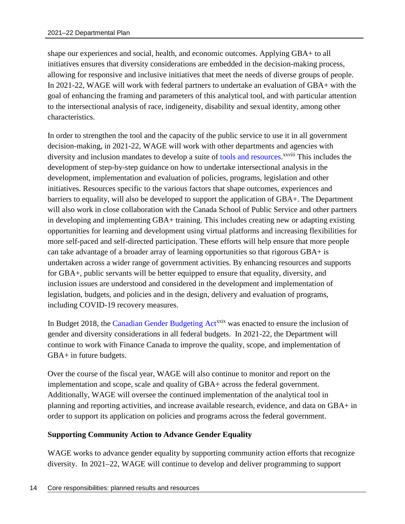shape our experiences and social, health, and economic outcomes. Applying GBA+ to all initiatives ensures that diversity considerations are embedded in the decision-making process, allowing for responsive and inclusive initiatives that meet the needs of diverse groups of people. In 2021-22, WAGE will work with federal partners to undertake an evaluation of GBA+ with the goal of enhancing the framing and parameters of this analytical tool, and with particular attention to the intersectional analysis of race, indigeneity, disability and sexual identity, among other characteristics.

In order to strengthen the tool and the capacity of the public service to use it in all government decision-making, in 2021-22, WAGE will work with other departments and agencies with diversity and inclusion mandates to develop a suite of [tools and resources.](https://cfc-swc.gc.ca/gba-acs/resources-ressources-en.html)<sup>[xxviii](#page-39-27)</sup> This includes the development of step-by-step guidance on how to undertake intersectional analysis in the development, implementation and evaluation of policies, programs, legislation and other initiatives. Resources specific to the various factors that shape outcomes, experiences and barriers to equality, will also be developed to support the application of GBA+. The Department will also work in close collaboration with the Canada School of Public Service and other partners in developing and implementing GBA+ training. This includes creating new or adapting existing opportunities for learning and development using virtual platforms and increasing flexibilities for more self-paced and self-directed participation. These efforts will help ensure that more people can take advantage of a broader array of learning opportunities so that rigorous GBA+ is undertaken across a wider range of government activities. By enhancing resources and supports for GBA+, public servants will be better equipped to ensure that equality, diversity, and inclusion issues are understood and considered in the development and implementation of legislation, budgets, and policies and in the design, delivery and evaluation of programs, including COVID-19 recovery measures.

In Budget 2018, the [Canadian Gender Budgeting Act](https://laws-lois.justice.gc.ca/eng/acts/C-17.2/FullText.html)<sup>[xxix](#page-39-28)</sup> was enacted to ensure the inclusion of gender and diversity considerations in all federal budgets. In 2021-22, the Department will continue to work with Finance Canada to improve the quality, scope, and implementation of GBA+ in future budgets.

Over the course of the fiscal year, WAGE will also continue to monitor and report on the implementation and scope, scale and quality of GBA+ across the federal government. Additionally, WAGE will oversee the continued implementation of the analytical tool in planning and reporting activities, and increase available research, evidence, and data on GBA+ in order to support its application on policies and programs across the federal government.

### **Supporting Community Action to Advance Gender Equality**

WAGE works to advance gender equality by supporting community action efforts that recognize diversity. In 2021–22, WAGE will continue to develop and deliver programming to support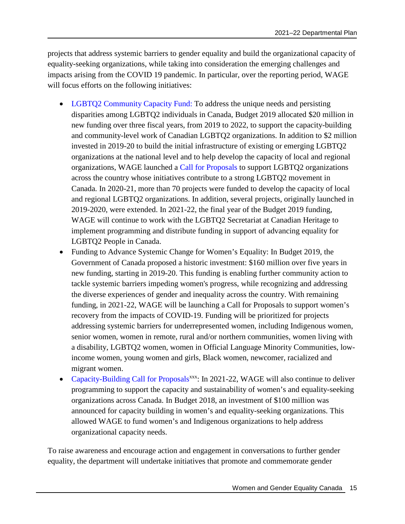projects that address systemic barriers to gender equality and build the organizational capacity of equality-seeking organizations, while taking into consideration the emerging challenges and impacts arising from the COVID 19 pandemic. In particular, over the reporting period, WAGE will focus efforts on the following initiatives:

- [LGBTQ2 Community Capacity Fund:](https://www.canada.ca/en/status-women/news/2019/09/government-of-canada-invests-in-lgbtq2-communities-in-quebec.html) To address the unique needs and persisting disparities among LGBTQ2 individuals in Canada, Budget 2019 allocated \$20 million in new funding over three fiscal years, from 2019 to 2022, to support the capacity-building and community-level work of Canadian LGBTQ2 organizations. In addition to \$2 million invested in 2019-20 to build the initial infrastructure of existing or emerging LGBTQ2 organizations at the national level and to help develop the capacity of local and regional organizations, WAGE launched a [Call for Proposals](https://cfc-swc.gc.ca/fun-fin/lgbtq2/index-en.html) to support LGBTQ2 organizations across the country whose initiatives contribute to a strong LGBTQ2 movement in Canada. In 2020-21, more than 70 projects were funded to develop the capacity of local and regional LGBTQ2 organizations. In addition, several projects, originally launched in 2019-2020, were extended. In 2021-22, the final year of the Budget 2019 funding, WAGE will continue to work with the LGBTQ2 Secretariat at Canadian Heritage to implement programming and distribute funding in support of advancing equality for LGBTQ2 People in Canada.
- Funding to Advance Systemic Change for Women's Equality: In Budget 2019, the Government of Canada proposed a historic investment: \$160 million over five years in new funding, starting in 2019-20. This funding is enabling further community action to tackle systemic barriers impeding women's progress, while recognizing and addressing the diverse experiences of gender and inequality across the country. With remaining funding, in 2021-22, WAGE will be launching a Call for Proposals to support women's recovery from the impacts of COVID-19. Funding will be prioritized for projects addressing systemic barriers for underrepresented women, including Indigenous women, senior women, women in remote, rural and/or northern communities, women living with a disability, LGBTQ2 women, women in Official Language Minority Communities, lowincome women, young women and girls, Black women, newcomer, racialized and migrant women.
- [Capacity-Building Call for Proposals](https://cfc-swc.gc.ca/fun-fin/cfp-adp/2018-1/index-en.html)<sup>[xxx](#page-39-29)</sup>: In 2021-22, WAGE will also continue to deliver programming to support the capacity and sustainability of women's and equality-seeking organizations across Canada. In Budget 2018, an investment of \$100 million was announced for capacity building in women's and equality-seeking organizations. This allowed WAGE to fund women's and Indigenous organizations to help address organizational capacity needs.

To raise awareness and encourage action and engagement in conversations to further gender equality, the department will undertake initiatives that promote and commemorate gender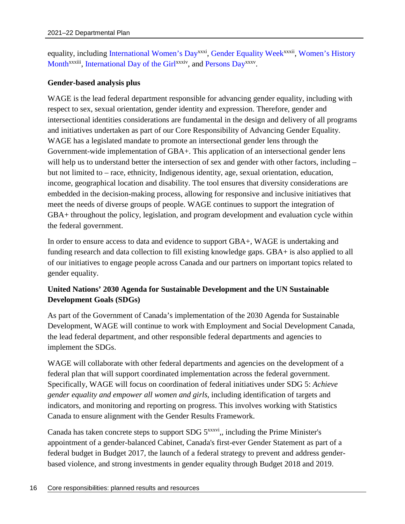equality, including [International Women's Day](https://www.internationalwomensday.com/)<sup>[xxxi](#page-39-30)</sup>, [Gender Equality Week](https://cfc-swc.gc.ca/commemoration/gew-ses/index-en.html)<sup>[xxxii](#page-39-31)</sup>[,](#page-39-31) Women's History Month<sup>[xxxiii](#page-39-32)</sup>[, International Day of the Girl](https://cfc-swc.gc.ca/commemoration/whm-mhf/index-en.html)<sup>[xxxiv](#page-39-33)</sup>, and [Persons Day](https://cfc-swc.gc.ca/commemoration/whm-mhf/persons-personne-en.html)<sup>[xxxv](#page-39-34)</sup>.

#### **Gender-based analysis plus**

WAGE is the lead federal department responsible for advancing gender equality, including with respect to sex, sexual orientation, gender identity and expression. Therefore, gender and intersectional identities considerations are fundamental in the design and delivery of all programs and initiatives undertaken as part of our Core Responsibility of Advancing Gender Equality. WAGE has a legislated mandate to promote an intersectional gender lens through the Government-wide implementation of GBA+. This application of an intersectional gender lens will help us to understand better the intersection of sex and gender with other factors, including – but not limited to – race, ethnicity, Indigenous identity, age, sexual orientation, education, income, geographical location and disability. The tool ensures that diversity considerations are embedded in the decision-making process, allowing for responsive and inclusive initiatives that meet the needs of diverse groups of people. WAGE continues to support the integration of GBA+ throughout the policy, legislation, and program development and evaluation cycle within the federal government.

In order to ensure access to data and evidence to support GBA+, WAGE is undertaking and funding research and data collection to fill existing knowledge gaps. GBA+ is also applied to all of our initiatives to engage people across Canada and our partners on important topics related to gender equality.

## **United Nations' 2030 Agenda for Sustainable Development and the UN Sustainable Development Goals (SDGs)**

As part of the Government of Canada's implementation of the 2030 Agenda for Sustainable Development, WAGE will continue to work with Employment and Social Development Canada, the lead federal department, and other responsible federal departments and agencies to implement the SDGs.

WAGE will collaborate with other federal departments and agencies on the development of a federal plan that will support coordinated implementation across the federal government. Specifically, WAGE will focus on coordination of federal initiatives under SDG 5: *Achieve gender equality and empower all women and girls*, including identification of targets and indicators, and monitoring and reporting on progress. This involves working with Statistics Canada to ensure alignment with the Gender Results Framework.

Canada has taken concrete steps to support SDG  $5^{xxxxvi}$  $5^{xxxxvi}$  $5^{xxxxvi}$ , including the Prime Minister's appointment of a gender-balanced Cabinet, Canada's first-ever Gender Statement as part of a federal budget in Budget 2017, the launch of a federal strategy to prevent and address genderbased violence, and strong investments in gender equality through Budget 2018 and 2019.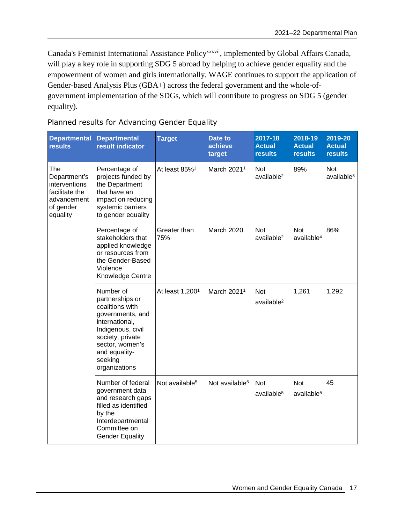[Canada's Feminist International Assistance Policy](https://www.international.gc.ca/world-monde/issues_development-enjeux_developpement/priorities-priorites/policy-politique.aspx?lang=eng)<sup>[xxxvii](#page-39-36)</sup>, implemented by Global Affairs Canada, will play a key role in supporting SDG 5 abroad by helping to achieve gender equality and the empowerment of women and girls internationally. WAGE continues to support the application of Gender-based Analysis Plus (GBA+) across the federal government and the whole-ofgovernment implementation of the SDGs, which will contribute to progress on SDG 5 (gender equality).

Planned results for Advancing Gender Equality

| <b>Departmental</b><br><b>results</b>                                                          | <b>Departmental</b><br>result indicator                                                                                                                                                        | <b>Target</b>               | Date to<br>achieve<br>target | 2017-18<br><b>Actual</b><br><b>results</b> | 2018-19<br><b>Actual</b><br><b>results</b> | 2019-20<br><b>Actual</b><br><b>results</b> |
|------------------------------------------------------------------------------------------------|------------------------------------------------------------------------------------------------------------------------------------------------------------------------------------------------|-----------------------------|------------------------------|--------------------------------------------|--------------------------------------------|--------------------------------------------|
| The<br>Department's<br>interventions<br>facilitate the<br>advancement<br>of gender<br>equality | Percentage of<br>projects funded by<br>the Department<br>that have an<br>impact on reducing<br>systemic barriers<br>to gender equality                                                         | At least 85% <sup>1</sup>   | March 2021 <sup>1</sup>      | <b>Not</b><br>available <sup>2</sup>       | 89%                                        | <b>Not</b><br>$a$ vailable $3$             |
|                                                                                                | Percentage of<br>stakeholders that<br>applied knowledge<br>or resources from<br>the Gender-Based<br>Violence<br>Knowledge Centre                                                               | Greater than<br>75%         | March 2020                   | <b>Not</b><br>available <sup>2</sup>       | <b>Not</b><br>available <sup>4</sup>       | 86%                                        |
|                                                                                                | Number of<br>partnerships or<br>coalitions with<br>governments, and<br>international,<br>Indigenous, civil<br>society, private<br>sector, women's<br>and equality-<br>seeking<br>organizations | At least 1,200 <sup>1</sup> | March 2021 <sup>1</sup>      | <b>Not</b><br>available <sup>2</sup>       | 1,261                                      | 1,292                                      |
|                                                                                                | Number of federal<br>government data<br>and research gaps<br>filled as identified<br>by the<br>Interdepartmental<br>Committee on<br><b>Gender Equality</b>                                     | Not available <sup>5</sup>  | Not available <sup>5</sup>   | Not<br>available <sup>5</sup>              | <b>Not</b><br>available <sup>5</sup>       | 45                                         |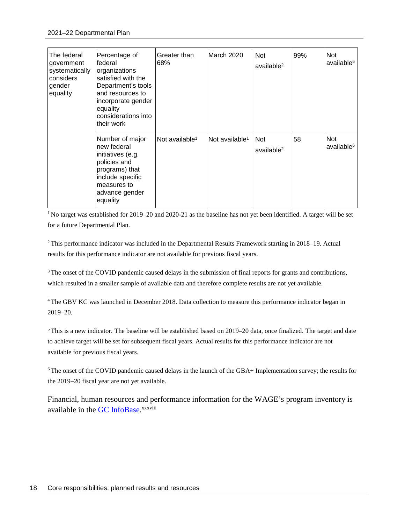| The federal<br>government<br>systematically<br>considers<br>gender<br>equality | Percentage of<br>federal<br>organizations<br>satisfied with the<br>Department's tools<br>and resources to<br>incorporate gender<br>equality<br>considerations into<br>their work | Greater than<br>68%        | March 2020                 | <b>Not</b><br>available $2$          | 99% | <b>Not</b><br>available <sup>6</sup> |
|--------------------------------------------------------------------------------|----------------------------------------------------------------------------------------------------------------------------------------------------------------------------------|----------------------------|----------------------------|--------------------------------------|-----|--------------------------------------|
|                                                                                | Number of major<br>new federal<br>initiatives (e.g.<br>policies and<br>programs) that<br>include specific<br>measures to<br>advance gender<br>equality                           | Not available <sup>1</sup> | Not available <sup>1</sup> | <b>Not</b><br>available <sup>2</sup> | 58  | <b>Not</b><br>available <sup>6</sup> |

<sup>1</sup>No target was established for 2019–20 and 2020-21 as the baseline has not yet been identified. A target will be set for a future Departmental Plan.

<sup>2</sup>This performance indicator was included in the Departmental Results Framework starting in 2018–19. Actual results for this performance indicator are not available for previous fiscal years.

<sup>3</sup>The onset of the COVID pandemic caused delays in the submission of final reports for grants and contributions, which resulted in a smaller sample of available data and therefore complete results are not yet available.

<sup>4</sup>The GBV KC was launched in December 2018. Data collection to measure this performance indicator began in 2019–20.

<sup>5</sup>This is a new indicator. The baseline will be established based on 2019–20 data, once finalized. The target and date to achieve target will be set for subsequent fiscal years. Actual results for this performance indicator are not available for previous fiscal years.

<sup>6</sup>The onset of the COVID pandemic caused delays in the launch of the GBA+ Implementation survey; the results for the 2019–20 fiscal year are not yet available.

[Financial, human resources and performance information for the WAGE's program inventory is](#page-39-37)  available in the GC InfoBase.<sup>[xxxviii](#page-39-37)</sup>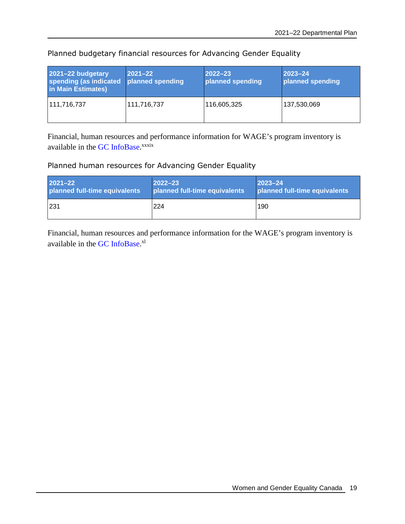| 2021-22 budgetary<br>spending (as indicated<br>in Main Estimates) | $ 2021 - 22 $<br>planned spending | $ 2022 - 23 $<br>planned spending | $2023 - 24$<br>planned spending |
|-------------------------------------------------------------------|-----------------------------------|-----------------------------------|---------------------------------|
| 111,716,737                                                       | 111,716,737                       | 116,605,325                       | 137,530,069                     |

Planned budgetary financial resources for Advancing Gender Equality

[Financial, human resources and performance information for WAGE's](#page-39-38) program inventory is available in the GC InfoBase.<sup>[xxxix](#page-39-38)</sup>

# Planned human resources for Advancing Gender Equality

| $2021 - 22$                   | $ 2022 - 23 $                 | $2023 - 24$                   |
|-------------------------------|-------------------------------|-------------------------------|
| planned full-time equivalents | planned full-time equivalents | planned full-time equivalents |
| 1231                          | 224                           | 190                           |

[Financial, human resources and performance information for the WAGE's](#page-39-39) program inventory is available in the GC InfoBase.<sup>[xl](#page-39-39)</sup>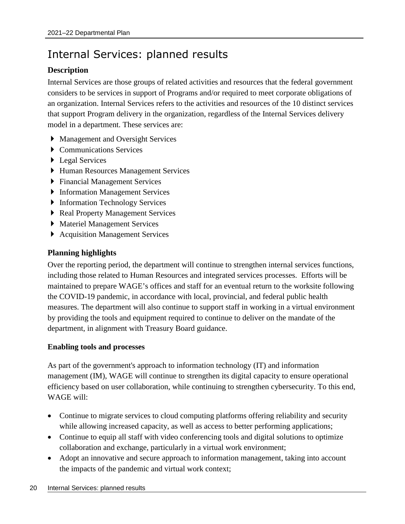# <span id="page-23-0"></span>Internal Services: planned results

# **Description**

Internal Services are those groups of related activities and resources that the federal government considers to be services in support of Programs and/or required to meet corporate obligations of an organization. Internal Services refers to the activities and resources of the 10 distinct services that support Program delivery in the organization, regardless of the Internal Services delivery model in a department. These services are:

- Management and Oversight Services
- Communications Services
- ▶ Legal Services
- Human Resources Management Services
- Financial Management Services
- ▶ Information Management Services
- **Information Technology Services**
- ▶ Real Property Management Services
- Materiel Management Services
- ▶ Acquisition Management Services

## **Planning highlights**

Over the reporting period, the department will continue to strengthen internal services functions, including those related to Human Resources and integrated services processes. Efforts will be maintained to prepare WAGE's offices and staff for an eventual return to the worksite following the COVID-19 pandemic, in accordance with local, provincial, and federal public health measures. The department will also continue to support staff in working in a virtual environment by providing the tools and equipment required to continue to deliver on the mandate of the department, in alignment with Treasury Board guidance.

### **Enabling tools and processes**

As part of the government's approach to information technology (IT) and information management (IM), WAGE will continue to strengthen its digital capacity to ensure operational efficiency based on user collaboration, while continuing to strengthen cybersecurity. To this end, WAGE will:

- Continue to migrate services to cloud computing platforms offering reliability and security while allowing increased capacity, as well as access to better performing applications;
- Continue to equip all staff with video conferencing tools and digital solutions to optimize collaboration and exchange, particularly in a virtual work environment;
- Adopt an innovative and secure approach to information management, taking into account the impacts of the pandemic and virtual work context;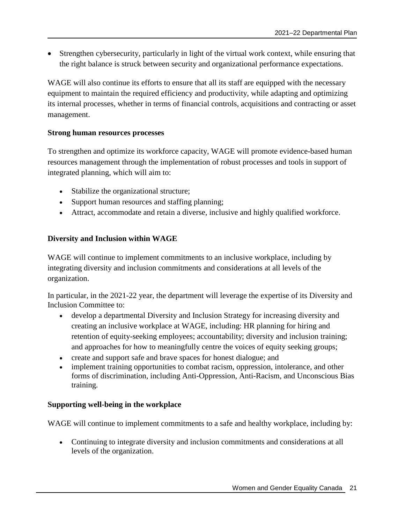Strengthen cybersecurity, particularly in light of the virtual work context, while ensuring that the right balance is struck between security and organizational performance expectations.

WAGE will also continue its efforts to ensure that all its staff are equipped with the necessary equipment to maintain the required efficiency and productivity, while adapting and optimizing its internal processes, whether in terms of financial controls, acquisitions and contracting or asset management.

### **Strong human resources processes**

To strengthen and optimize its workforce capacity, WAGE will promote evidence-based human resources management through the implementation of robust processes and tools in support of integrated planning, which will aim to:

- Stabilize the organizational structure;
- Support human resources and staffing planning;
- Attract, accommodate and retain a diverse, inclusive and highly qualified workforce.

### **Diversity and Inclusion within WAGE**

WAGE will continue to implement commitments to an inclusive workplace, including by integrating diversity and inclusion commitments and considerations at all levels of the organization.

In particular, in the 2021-22 year, the department will leverage the expertise of its Diversity and Inclusion Committee to:

- develop a departmental Diversity and Inclusion Strategy for increasing diversity and creating an inclusive workplace at WAGE, including: HR planning for hiring and retention of equity-seeking employees; accountability; diversity and inclusion training; and approaches for how to meaningfully centre the voices of equity seeking groups;
- create and support safe and brave spaces for honest dialogue; and
- implement training opportunities to combat racism, oppression, intolerance, and other forms of discrimination, including Anti-Oppression, Anti-Racism, and Unconscious Bias training.

### **Supporting well-being in the workplace**

WAGE will continue to implement commitments to a safe and healthy workplace, including by:

 Continuing to integrate diversity and inclusion commitments and considerations at all levels of the organization.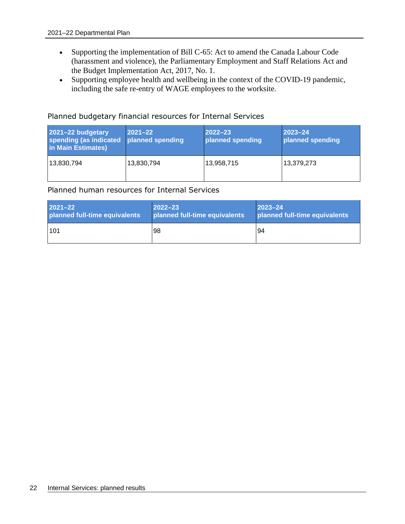- Supporting the implementation of Bill C-65: Act to amend the Canada Labour Code (harassment and violence), the Parliamentary Employment and Staff Relations Act and the Budget Implementation Act, 2017, No. 1.
- Supporting employee health and wellbeing in the context of the COVID-19 pandemic, including the safe re-entry of WAGE employees to the worksite.

Planned budgetary financial resources for Internal Services

| 2021-22 budgetary<br>spending (as indicated<br>in Main Estimates) | $2021 - 22$<br>planned spending | $ 2022 - 23 $<br>planned spending | $2023 - 24$<br>planned spending |
|-------------------------------------------------------------------|---------------------------------|-----------------------------------|---------------------------------|
| 13,830,794                                                        | 13,830,794                      | 13,958,715                        | 13,379,273                      |

Planned human resources for Internal Services

| $2021 - 22$                   | $2022 - 23$                   | $ 2023 - 24 $                 |
|-------------------------------|-------------------------------|-------------------------------|
| planned full-time equivalents | planned full-time equivalents | planned full-time equivalents |
| 101                           | 98                            | 94                            |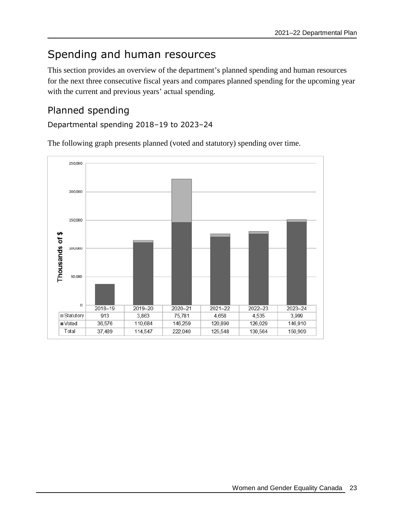# <span id="page-26-0"></span>Spending and human resources

This section provides an overview of the department's planned spending and human resources for the next three consecutive fiscal years and compares planned spending for the upcoming year with the current and previous years' actual spending.

# <span id="page-26-1"></span>Planned spending

Departmental spending 2018–19 to 2023–24

The following graph presents planned (voted and statutory) spending over time.

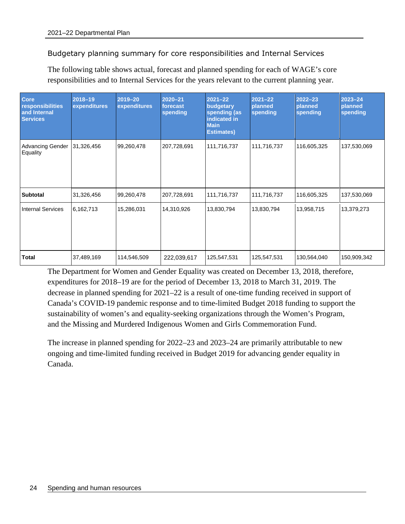Budgetary planning summary for core responsibilities and Internal Services

The following table shows actual, forecast and planned spending for each of WAGE's core responsibilities and to Internal Services for the years relevant to the current planning year.

| <b>Core</b><br>responsibilities<br>and Internal<br><b>Services</b> | $2018 - 19$<br>expenditures | $2019 - 20$<br>expenditures | $2020 - 21$<br>forecast<br>spending | $2021 - 22$<br>budgetary<br>spending (as<br>indicated in<br><b>Main</b><br><b>Estimates)</b> | $2021 - 22$<br>planned<br>spending | $2022 - 23$<br>planned<br>spending | $2023 - 24$<br>planned<br>spending |
|--------------------------------------------------------------------|-----------------------------|-----------------------------|-------------------------------------|----------------------------------------------------------------------------------------------|------------------------------------|------------------------------------|------------------------------------|
| <b>Advancing Gender</b><br>Equality                                | 31,326,456                  | 99,260,478                  | 207,728,691                         | 111,716,737                                                                                  | 111,716,737                        | 116,605,325                        | 137,530,069                        |
| <b>Subtotal</b>                                                    | 31,326,456                  | 99,260,478                  | 207,728,691                         | 111,716,737                                                                                  | 111,716,737                        | 116,605,325                        | 137,530,069                        |
| <b>Internal Services</b>                                           | 6,162,713                   | 15,286,031                  | 14,310,926                          | 13,830,794                                                                                   | 13,830,794                         | 13,958,715                         | 13,379,273                         |
| <b>Total</b>                                                       | 37,489,169                  | 114,546,509                 | 222,039,617                         | 125,547,531                                                                                  | 125,547,531                        | 130,564,040                        | 150,909,342                        |

The Department for Women and Gender Equality was created on December 13, 2018, therefore, expenditures for 2018–19 are for the period of December 13, 2018 to March 31, 2019. The decrease in planned spending for 2021–22 is a result of one-time funding received in support of Canada's COVID-19 pandemic response and to time-limited Budget 2018 funding to support the sustainability of women's and equality-seeking organizations through the Women's Program, and the Missing and Murdered Indigenous Women and Girls Commemoration Fund.

The increase in planned spending for 2022–23 and 2023–24 are primarily attributable to new ongoing and time-limited funding received in Budget 2019 for advancing gender equality in Canada.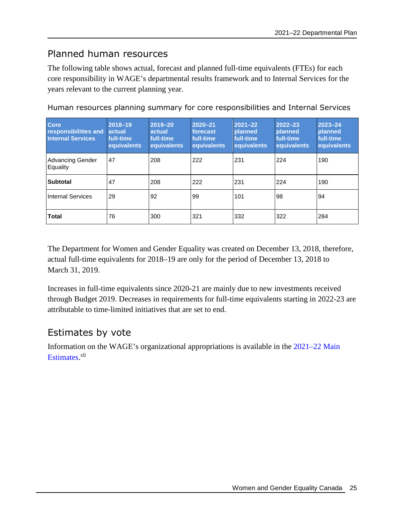# <span id="page-28-0"></span>Planned human resources

The following table shows actual, forecast and planned full-time equivalents (FTEs) for each core responsibility in WAGE's departmental results framework and to Internal Services for the years relevant to the current planning year.

| <b>Core</b><br>responsibilities and<br><b>Internal Services</b> | 2018-19<br>actual<br>full-time<br>equivalents | 2019-20<br>actual<br>full-time<br>equivalents | $2020 - 21$<br>forecast<br>full-time.<br>equivalents | $2021 - 22$<br>planned<br>full-time<br>equivalents | $2022 - 23$<br>planned<br>full-time<br>equivalents | $2023 - 24$<br>planned<br>full-time<br>equivalents |
|-----------------------------------------------------------------|-----------------------------------------------|-----------------------------------------------|------------------------------------------------------|----------------------------------------------------|----------------------------------------------------|----------------------------------------------------|
| Advancing Gender<br>Equality                                    | 47                                            | 208                                           | 222                                                  | 231                                                | 224                                                | 190                                                |
| <b>Subtotal</b>                                                 | 47                                            | 208                                           | 222                                                  | 231                                                | 224                                                | 190                                                |
| <b>Internal Services</b>                                        | 29                                            | 92                                            | 99                                                   | 101                                                | 98                                                 | 94                                                 |
| <b>Total</b>                                                    | 76                                            | 300                                           | 321                                                  | 332                                                | 322                                                | 284                                                |

Human resources planning summary for core responsibilities and Internal Services

The Department for Women and Gender Equality was created on December 13, 2018, therefore, actual full-time equivalents for 2018–19 are only for the period of December 13, 2018 to March 31, 2019.

Increases in full-time equivalents since 2020-21 are mainly due to new investments received through Budget 2019. Decreases in requirements for full-time equivalents starting in 2022-23 are attributable to time-limited initiatives that are set to end.

# <span id="page-28-1"></span>Estimates by vote

Information on the WAGE's organizational appropriations is available in the [2021–22 Main](http://www.tbs-sct.gc.ca/hgw-cgf/finances/pgs-pdg/gepme-pdgbpd/index-eng.asp)  [Estimates.](http://www.tbs-sct.gc.ca/hgw-cgf/finances/pgs-pdg/gepme-pdgbpd/index-eng.asp)<sup>[xli](#page-39-40)</sup>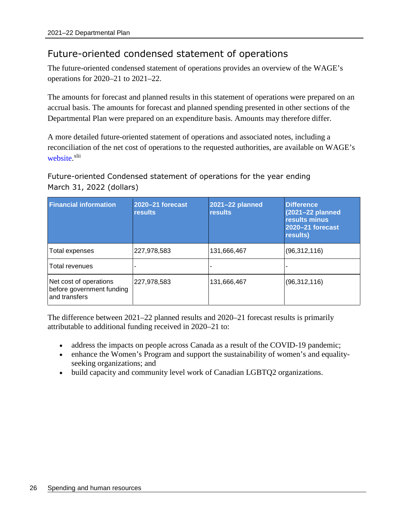# <span id="page-29-0"></span>Future-oriented condensed statement of operations

The future-oriented condensed statement of operations provides an overview of the WAGE's operations for 2020–21 to 2021–22.

The amounts for forecast and planned results in this statement of operations were prepared on an accrual basis. The amounts for forecast and planned spending presented in other sections of the Departmental Plan were prepared on an expenditure basis. Amounts may therefore differ.

A more detailed future-oriented statement of operations and associated notes, including a reconciliation of the net cost of operations to the requested authorities, are available on WAGE's [website.](https://cfc-swc.gc.ca/index-en.html)<sup>[xlii](#page-39-41)</sup>

Future-oriented Condensed statement of operations for the year ending March 31, 2022 (dollars)

| <b>Financial information</b>                                         | 2020-21 forecast<br><b>results</b> | 2021-22 planned<br><b>results</b> | <b>Difference</b><br>(2021-22 planned<br>results minus<br>2020-21 forecast<br>results) |
|----------------------------------------------------------------------|------------------------------------|-----------------------------------|----------------------------------------------------------------------------------------|
| Total expenses                                                       | 227,978,583                        | 131,666,467                       | (96, 312, 116)                                                                         |
| <b>Total revenues</b>                                                |                                    |                                   |                                                                                        |
| Net cost of operations<br>before government funding<br>and transfers | 227,978,583                        | 131,666,467                       | (96, 312, 116)                                                                         |

The difference between 2021–22 planned results and 2020–21 forecast results is primarily attributable to additional funding received in 2020–21 to:

- address the impacts on people across Canada as a result of the COVID-19 pandemic;
- enhance the Women's Program and support the sustainability of women's and equalityseeking organizations; and
- build capacity and community level work of Canadian LGBTQ2 organizations.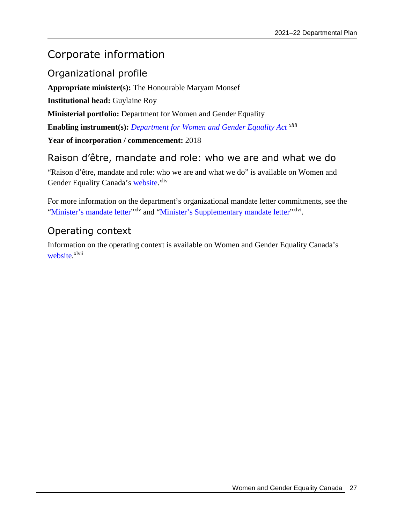# <span id="page-30-0"></span>Corporate information

<span id="page-30-1"></span>Organizational profile

**Appropriate minister(s):** The Honourable Maryam Monsef

**Institutional head:** Guylaine Roy

**Ministerial portfolio:** Department for Women and Gender Equality

**Enabling instrument(s):** *[Department for Women and Gender Equality Act](https://laws-lois.justice.gc.ca/eng/acts/W-11.3/page-1.html) [xliii](#page-39-42)*

**Year of incorporation / commencement:** 2018

# <span id="page-30-2"></span>Raison d'être, mandate and role: who we are and what we do

"Raison d'être, mandate and role: who we are and what we do" is available on Women and Gender Equality Canada's [website](https://cfc-swc.gc.ca/trans/account-resp/pr/dp-pm/2122/ci-rm-en.html#raison).<sup>[xliv](#page-39-43)</sup>

For more information on the department's organizational mandate letter commitments, see the ["Minister's mandate letter"](https://pm.gc.ca/en/mandate-letters/2019/12/13/minister-women-and-gender-equality-and-rural-economic-development)<sup>[xlv](#page-39-44)</sup> and "[Minister's Supplementary mandate letter](https://pm.gc.ca/en/mandate-letters/2021/01/15/minister-women-and-gender-equality-and-rural-economic-development)"<sup>[xlvi](#page-39-45)</sup>.

# <span id="page-30-3"></span>Operating context

Information on the operating context is available on Women and Gender Equality Canada's [website.](https://cfc-swc.gc.ca/trans/account-resp/pr/dp-pm/2122/ci-rm-en.html#context)<sup>[xlvii](#page-39-46)</sup>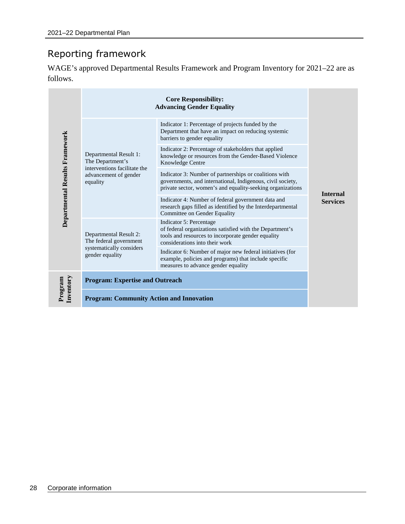# <span id="page-31-0"></span>Reporting framework

WAGE's approved Departmental Results Framework and Program Inventory for 2021–22 are as follows.

|                                             | <b>Advancing Gender Equality</b>                                           |                                                                                                                                                                                    |                 |  |  |
|---------------------------------------------|----------------------------------------------------------------------------|------------------------------------------------------------------------------------------------------------------------------------------------------------------------------------|-----------------|--|--|
|                                             |                                                                            | Indicator 1: Percentage of projects funded by the<br>Department that have an impact on reducing systemic<br>barriers to gender equality                                            |                 |  |  |
| Departmental Results Framework<br>equality  | Departmental Result 1:<br>The Department's<br>interventions facilitate the | Indicator 2: Percentage of stakeholders that applied<br>knowledge or resources from the Gender-Based Violence<br>Knowledge Centre                                                  |                 |  |  |
|                                             | advancement of gender                                                      | Indicator 3: Number of partnerships or coalitions with<br>governments, and international, Indigenous, civil society,<br>private sector, women's and equality-seeking organizations | <b>Internal</b> |  |  |
|                                             |                                                                            | Indicator 4: Number of federal government data and<br>research gaps filled as identified by the Interdepartmental<br>Committee on Gender Equality                                  | <b>Services</b> |  |  |
|                                             | Departmental Result 2:<br>The federal government                           | Indicator 5: Percentage<br>of federal organizations satisfied with the Department's<br>tools and resources to incorporate gender equality<br>considerations into their work        |                 |  |  |
| systematically considers<br>gender equality |                                                                            | Indicator 6: Number of major new federal initiatives (for<br>example, policies and programs) that include specific<br>measures to advance gender equality                          |                 |  |  |
| Inventory<br>Program                        | <b>Program: Expertise and Outreach</b>                                     |                                                                                                                                                                                    |                 |  |  |
|                                             | <b>Program: Community Action and Innovation</b>                            |                                                                                                                                                                                    |                 |  |  |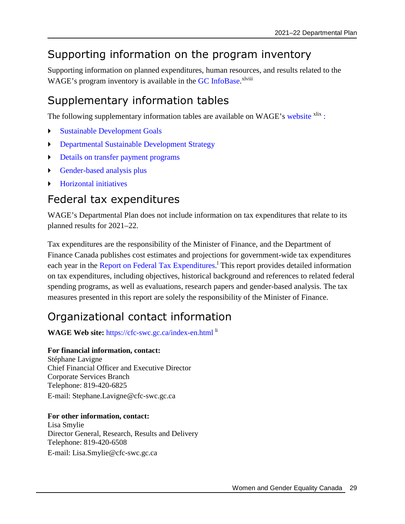# <span id="page-32-0"></span>Supporting information on the program inventory

Supporting information on planned expenditures, human resources, and results related to the WAGE's program inventory is available in the GC [InfoBase.](https://www.tbs-sct.gc.ca/ems-sgd/edb-bdd/index-eng.html)<sup>[xlviii](#page-39-47)</sup>

# <span id="page-32-1"></span>Supplementary information tables

The following supplementary information tables are available on WAGE's [website](https://cfc-swc.gc.ca/trans/account-resp/pr/dp-pm/2122/st-ts-en.html) <sup>[xlix](#page-39-48)</sup> [:](#page-39-48)

- [Sustainable Development Goals](https://cfc-swc.gc.ca/trans/account-resp/pr/dp-pm/2122/st-ts-en.html#section_1)
- [Departmental Sustainable Development Strategy](https://cfc-swc.gc.ca/trans/account-resp/pr/dp-pm/2122/st-ts-en.html#section_2)
- [Details on transfer payment programs](https://cfc-swc.gc.ca/trans/account-resp/pr/dp-pm/2122/st-ts-en.html#section_3)
- [Gender-based analysis plus](https://cfc-swc.gc.ca/trans/account-resp/pr/dp-pm/2122/st-ts-en.html#section_4)
- [Horizontal initiatives](https://cfc-swc.gc.ca/trans/account-resp/pr/dp-pm/2122/st-ts-en.html#section_5)

# <span id="page-32-2"></span>Federal tax expenditures

WAGE's Departmental Plan does not include information on tax expenditures that relate to its planned results for 2021–22.

Tax expenditures are the responsibility of the Minister of Finance, and the Department of Finance Canada publishes cost estimates and projections for government-wide tax expenditures each year in the [Report on Federal Tax Expenditures](https://www.canada.ca/en/department-finance/services/publications/federal-tax-expenditures.html).<sup>1</sup>This report provides detailed information on tax expenditures, including objectives, historical background and references to related federal spending programs, as well as evaluations, research papers and gender-based analysis. The tax measures presented in this report are solely the responsibility of the Minister of Finance.

# <span id="page-32-3"></span>Organizational contact information

WAGE Web site: <https://cfc-swc.gc.ca/index-en.html> <sup>[li](#page-39-50)</sup>

# **For financial information, contact:**

Stéphane Lavigne Chief Financial Officer and Executive Director Corporate Services Branch Telephone: 819-420-6825 E-mail: Stephane.Lavigne@cfc-swc.gc.ca

## **For other information, contact:**

Lisa Smylie Director General, Research, Results and Delivery Telephone: 819-420-6508 E-mail: Lisa.Smylie@cfc-swc.gc.ca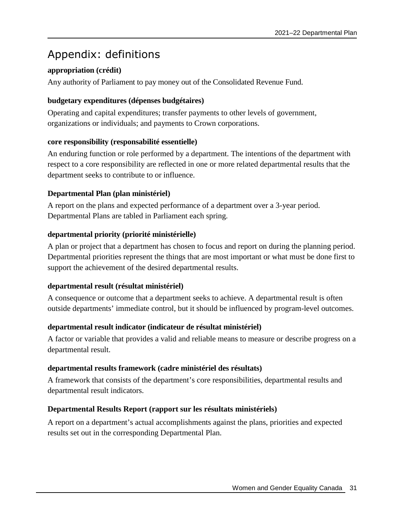# <span id="page-34-0"></span>Appendix: definitions

# **appropriation (crédit)**

Any authority of Parliament to pay money out of the Consolidated Revenue Fund.

## **budgetary expenditures (dépenses budgétaires)**

Operating and capital expenditures; transfer payments to other levels of government, organizations or individuals; and payments to Crown corporations.

## **core responsibility (responsabilité essentielle)**

An enduring function or role performed by a department. The intentions of the department with respect to a core responsibility are reflected in one or more related departmental results that the department seeks to contribute to or influence.

# **Departmental Plan (plan ministériel)**

A report on the plans and expected performance of a department over a 3-year period. Departmental Plans are tabled in Parliament each spring.

# **departmental priority (priorité ministérielle)**

A plan or project that a department has chosen to focus and report on during the planning period. Departmental priorities represent the things that are most important or what must be done first to support the achievement of the desired departmental results.

## **departmental result (résultat ministériel)**

A consequence or outcome that a department seeks to achieve. A departmental result is often outside departments' immediate control, but it should be influenced by program-level outcomes.

## **departmental result indicator (indicateur de résultat ministériel)**

A factor or variable that provides a valid and reliable means to measure or describe progress on a departmental result.

# **departmental results framework (cadre ministériel des résultats)**

A framework that consists of the department's core responsibilities, departmental results and departmental result indicators.

# **Departmental Results Report (rapport sur les résultats ministériels)**

A report on a department's actual accomplishments against the plans, priorities and expected results set out in the corresponding Departmental Plan.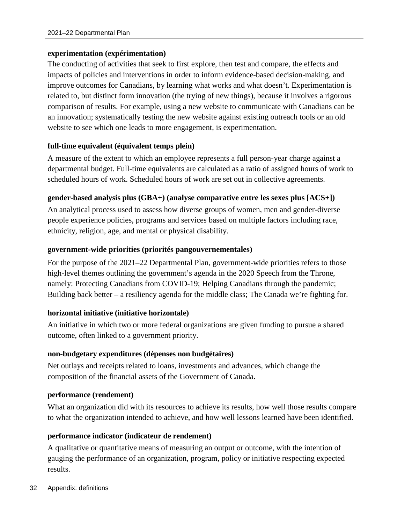### **experimentation (expérimentation)**

The conducting of activities that seek to first explore, then test and compare, the effects and impacts of policies and interventions in order to inform evidence-based decision-making, and improve outcomes for Canadians, by learning what works and what doesn't. Experimentation is related to, but distinct form innovation (the trying of new things), because it involves a rigorous comparison of results. For example, using a new website to communicate with Canadians can be an innovation; systematically testing the new website against existing outreach tools or an old website to see which one leads to more engagement, is experimentation.

### **full-time equivalent (équivalent temps plein)**

A measure of the extent to which an employee represents a full person-year charge against a departmental budget. Full-time equivalents are calculated as a ratio of assigned hours of work to scheduled hours of work. Scheduled hours of work are set out in collective agreements.

### **gender-based analysis plus (GBA+) (analyse comparative entre les sexes plus [ACS+])**

An analytical process used to assess how diverse groups of women, men and gender-diverse people experience policies, programs and services based on multiple factors including race, ethnicity, religion, age, and mental or physical disability.

### **government-wide priorities (priorités pangouvernementales)**

For the purpose of the 2021–22 Departmental Plan, government-wide priorities refers to those high-level themes outlining the government's agenda in the 2020 Speech from the Throne, namely: Protecting Canadians from COVID-19; Helping Canadians through the pandemic; Building back better – a resiliency agenda for the middle class; The Canada we're fighting for.

### **horizontal initiative (initiative horizontale)**

An initiative in which two or more federal organizations are given funding to pursue a shared outcome, often linked to a government priority.

### **non-budgetary expenditures (dépenses non budgétaires)**

Net outlays and receipts related to loans, investments and advances, which change the composition of the financial assets of the Government of Canada.

### **performance (rendement)**

What an organization did with its resources to achieve its results, how well those results compare to what the organization intended to achieve, and how well lessons learned have been identified.

### **performance indicator (indicateur de rendement)**

A qualitative or quantitative means of measuring an output or outcome, with the intention of gauging the performance of an organization, program, policy or initiative respecting expected results.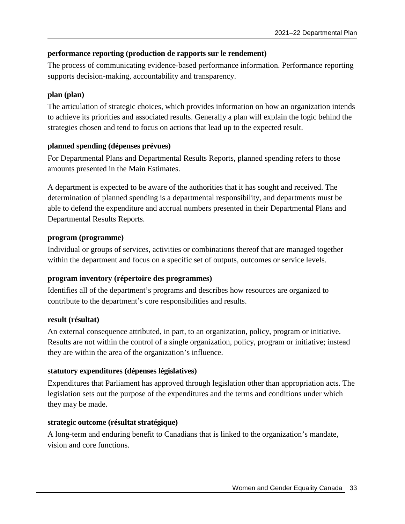### **performance reporting (production de rapports sur le rendement)**

The process of communicating evidence-based performance information. Performance reporting supports decision-making, accountability and transparency.

### **plan (plan)**

The articulation of strategic choices, which provides information on how an organization intends to achieve its priorities and associated results. Generally a plan will explain the logic behind the strategies chosen and tend to focus on actions that lead up to the expected result.

### **planned spending (dépenses prévues)**

For Departmental Plans and Departmental Results Reports, planned spending refers to those amounts presented in the Main Estimates.

A department is expected to be aware of the authorities that it has sought and received. The determination of planned spending is a departmental responsibility, and departments must be able to defend the expenditure and accrual numbers presented in their Departmental Plans and Departmental Results Reports.

### **program (programme)**

Individual or groups of services, activities or combinations thereof that are managed together within the department and focus on a specific set of outputs, outcomes or service levels.

## **program inventory (répertoire des programmes)**

Identifies all of the department's programs and describes how resources are organized to contribute to the department's core responsibilities and results.

### **result (résultat)**

An external consequence attributed, in part, to an organization, policy, program or initiative. Results are not within the control of a single organization, policy, program or initiative; instead they are within the area of the organization's influence.

## **statutory expenditures (dépenses législatives)**

Expenditures that Parliament has approved through legislation other than appropriation acts. The legislation sets out the purpose of the expenditures and the terms and conditions under which they may be made.

## **strategic outcome (résultat stratégique)**

A long-term and enduring benefit to Canadians that is linked to the organization's mandate, vision and core functions.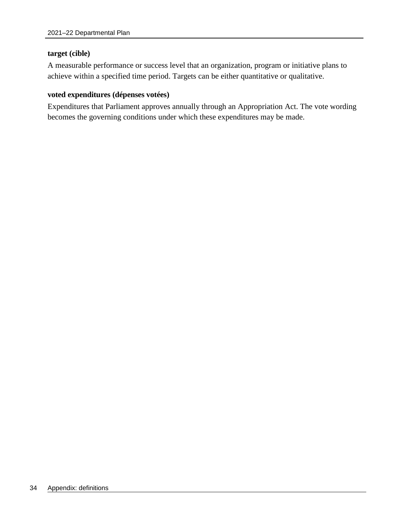#### **target (cible)**

A measurable performance or success level that an organization, program or initiative plans to achieve within a specified time period. Targets can be either quantitative or qualitative.

#### **voted expenditures (dépenses votées)**

Expenditures that Parliament approves annually through an Appropriation Act. The vote wording becomes the governing conditions under which these expenditures may be made.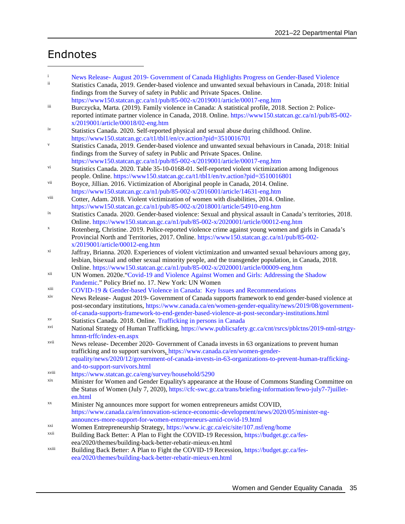# <span id="page-38-0"></span>Endnotes

- i News Release- August 2019- Government of Canada Highlights Progress on Gender-Based Violence<br>
Statistics Canada 2019, Gender-based violence and unwanted sexual behaviours in Canada, 2018; Ini
- Statistics Canada, 2019. Gender-based violence and unwanted sexual behaviours in Canada, 2018: Initial findings from the Survey of safety in Public and Private Spaces. Online. https://www150.statcan.gc.ca/n1/pub/85-002-x/2019001/article/00017-eng.htm
- iii Burczycka, Marta. (2019). Family violence in Canada: A statistical profile, 2018. Section 2: Policereported intimate partner violence in Canada, 2018. Online. https://www150.statcan.gc.ca/n1/pub/85-002 x/2019001/article/00018/02-eng.htm
- iv Statistics Canada. 2020. Self-reported physical and sexual abuse during childhood. Online. https://www150.statcan.gc.ca/t1/tbl1/en/cv.action?pid=3510016701
- Statistics Canada, 2019. Gender-based violence and unwanted sexual behaviours in Canada, 2018: Initial findings from the Survey of safety in Public and Private Spaces. Online.
- https://www150.statcan.gc.ca/n1/pub/85-002-x/2019001/article/00017-eng.htm vi Statistics Canada. 2020. Table 35-10-0168-01. Self-reported violent victimization among Indigenous
- people. Online. https://www150.statcan.gc.ca/t1/tbl1/en/tv.action?pid=3510016801 vii Boyce, Jillian. 2016. Victimization of Aboriginal people in Canada, 2014. Online.
- https://www150.statcan.gc.ca/n1/pub/85-002-x/2016001/article/14631-eng.htm viii Cotter, Adam. 2018. Violent victimization of women with disabilities, 2014. Online.
- https://www150.statcan.gc.ca/n1/pub/85-002-x/2018001/article/54910-eng.htm
- <sup>ix</sup> Statistics Canada. 2020. Gender-based violence: Sexual and physical assault in Canada's territories, 2018. Online. https://www150.statcan.gc.ca/n1/pub/85-002-x/2020001/article/00012-eng.htm
- <sup>x</sup> Rotenberg, Christine. 2019. Police-reported violence crime against young women and girls in Canada's Provincial North and Territories, 2017. Online. https://www150.statcan.gc.ca/n1/pub/85-002 x/2019001/article/00012-eng.htm
- xi Jaffray, Brianna. 2020. Experiences of violent victimization and unwanted sexual behaviours among gay, lesbian, bisexual and other sexual minority people, and the transgender population, in Canada, 2018. Online. https://www150.statcan.gc.ca/n1/pub/85-002-x/2020001/article/00009-eng.htm
- xii UN Women. 2020e."Covid-19 and Violence Against Women and Girls: Addressing the Shadow Pandemic." Policy Brief no. 17. New York: UN Women
- xiii COVID-19 & Gender-based Violence in Canada: Key Issues and Recommendations
- xiv News Release- August 2019- Government of Canada supports framework to end gender-based violence at post-secondary institutions, https://www.canada.ca/en/women-gender-equality/news/2019/08/governmentof-canada-supports-framework-to-end-gender-based-violence-at-post-secondary-institutions.html
- xv Statistics Canada. 2018. Online. Trafficking in persons in Canada
- xvi National Strategy of Human Trafficking, https://www.publicsafety.gc.ca/cnt/rsrcs/pblctns/2019-ntnl-strtgyhmnn-trffc/index-en.aspx
- xvii News release- December 2020- Government of Canada invests in 63 organizations to prevent human trafficking and to support survivors, https://www.canada.ca/en/women-genderequality/news/2020/12/government-of-canada-invests-in-63-organizations-to-prevent-human-traffickingand-to-support-survivors.html
- xviii https://www.statcan.gc.ca/eng/survey/household/5290
- xix Minister for Women and Gender Equality's appearance at the House of Commons Standing Committee on the Status of Women (July 7, 2020), https://cfc-swc.gc.ca/trans/briefing-information/fewo-july7-7juilleten.html
- xx Minister Ng announces more support for women entrepreneurs amidst COVID, https://www.canada.ca/en/innovation-science-economic-development/news/2020/05/minister-ngannounces-more-support-for-women-entrepreneurs-amid-covid-19.html
- xxi Women Entrepreneurship Strategy, https://www.ic.gc.ca/eic/site/107.nsf/eng/home<br>xxii Parilding Poel: Petter: A Plan to Eight the COVID 10 Peesesian, https://hudset.ge.ca
- Building Back Better: A Plan to Fight the COVID-19 Recession, https://budget.gc.ca/feseea/2020/themes/building-back-better-rebatir-mieux-en.html
- xxiii Building Back Better: A Plan to Fight the COVID-19 Recession, https://budget.gc.ca/feseea/2020/themes/building-back-better-rebatir-mieux-en.html